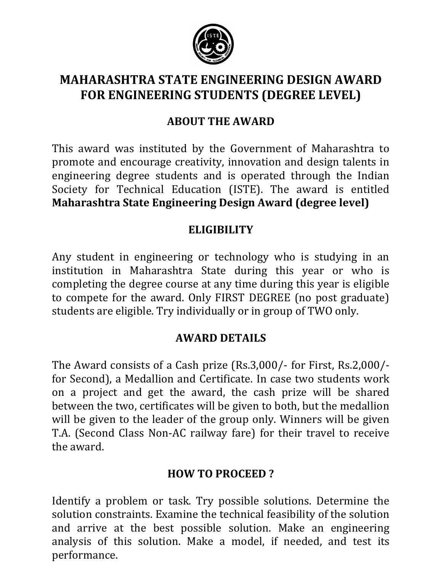

# **MAHARASHTRA STATE ENGINEERING DESIGN AWARD FOR ENGINEERING STUDENTS (DEGREE LEVEL)**

## **ABOUT THE AWARD**

This award was instituted by the Government of Maharashtra to promote and encourage creativity, innovation and design talents in engineering degree students and is operated through the Indian Society for Technical Education (ISTE). The award is entitled **Maharashtra State Engineering Design Award (degree level)**

## **ELIGIBILITY**

Any student in engineering or technology who is studying in an institution in Maharashtra State during this year or who is completing the degree course at any time during this year is eligible to compete for the award. Only FIRST DEGREE (no post graduate) students are eligible. Try individually or in group of TWO only.

## **AWARD DETAILS**

The Award consists of a Cash prize (Rs.3,000/- for First, Rs.2,000/ for Second), a Medallion and Certificate. In case two students work on a project and get the award, the cash prize will be shared between the two, certificates will be given to both, but the medallion will be given to the leader of the group only. Winners will be given T.A. (Second Class Non-AC railway fare) for their travel to receive the award.

## **HOW TO PROCEED ?**

Identify a problem or task. Try possible solutions. Determine the solution constraints. Examine the technical feasibility of the solution and arrive at the best possible solution. Make an engineering analysis of this solution. Make a model, if needed, and test its performance.